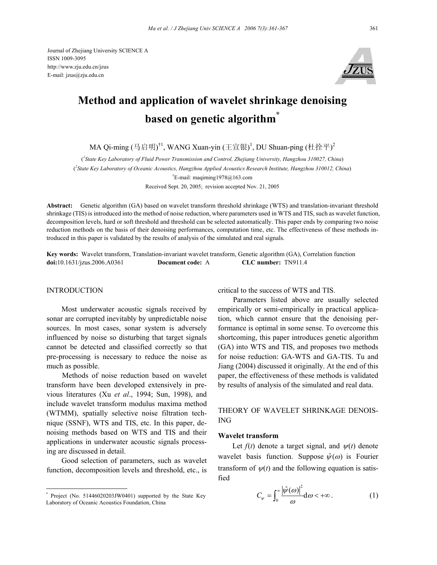Journal of Zhejiang University SCIENCE A ISSN 1009-3095 http://www.zju.edu.cn/jzus E-mail: jzus@zju.edu.cn



# **Method and application of wavelet shrinkage denoising based on genetic algorithm\***

MA Qi-ming (马启明)<sup>†1</sup>, WANG Xuan-yin (王宣银)<sup>1</sup>, DU Shuan-ping (杜拴平)<sup>2</sup>

( *1 State Key Laboratory of Fluid Power Transmission and Control, Zhejiang University, Hangzhou 310027, China*) ( *2 State Key Laboratory of Oceanic Acoustics, Hangzhou Applied Acoustics Research Institute, Hangzhou 310012, China*)

† E-mail: maqiming1978@163.com

Received Sept. 20, 2005; revision accepted Nov. 21, 2005

**Abstract:** Genetic algorithm (GA) based on wavelet transform threshold shrinkage (WTS) and translation-invariant threshold shrinkage (TIS) is introduced into the method of noise reduction, where parameters used in WTS and TIS, such as wavelet function, decomposition levels, hard or soft threshold and threshold can be selected automatically. This paper ends by comparing two noise reduction methods on the basis of their denoising performances, computation time, etc. The effectiveness of these methods introduced in this paper is validated by the results of analysis of the simulated and real signals.

**Key words:** Wavelet transform, Translation-invariant wavelet transform, Genetic algorithm (GA), Correlation function **doi:**10.1631/jzus.2006.A0361 **Document code:** A **CLC number:** TN911.4

## **INTRODUCTION**

Most underwater acoustic signals received by sonar are corrupted inevitably by unpredictable noise sources. In most cases, sonar system is adversely influenced by noise so disturbing that target signals cannot be detected and classified correctly so that pre-processing is necessary to reduce the noise as much as possible.

Methods of noise reduction based on wavelet transform have been developed extensively in previous literatures (Xu *et al*., 1994; Sun, 1998), and include wavelet transform modulus maxima method (WTMM), spatially selective noise filtration technique (SSNF), WTS and TIS, etc. In this paper, denoising methods based on WTS and TIS and their applications in underwater acoustic signals processing are discussed in detail.

Good selection of parameters, such as wavelet function, decomposition levels and threshold, etc., is

critical to the success of WTS and TIS.

Parameters listed above are usually selected empirically or semi-empirically in practical application, which cannot ensure that the denoising performance is optimal in some sense. To overcome this shortcoming, this paper introduces genetic algorithm (GA) into WTS and TIS, and proposes two methods for noise reduction: GA-WTS and GA-TIS. Tu and Jiang (2004) discussed it originally. At the end of this paper, the effectiveness of these methods is validated by results of analysis of the simulated and real data.

## THEORY OF WAVELET SHRINKAGE DENOIS-ING

## **Wavelet transform**

Let  $f(t)$  denote a target signal, and  $\psi(t)$  denote wavelet basis function. Suppose  $\hat{\psi}(\omega)$  is Fourier transform of  $\psi(t)$  and the following equation is satisfied

$$
C_{\psi} = \int_0^{\infty} \frac{|\hat{\psi}(\omega)|^2}{\omega} d\omega < +\infty.
$$
 (1)

<sup>\*</sup> Project (No. 51446020203JW0401) supported by the State Key Laboratory of Oceanic Acoustics Foundation, China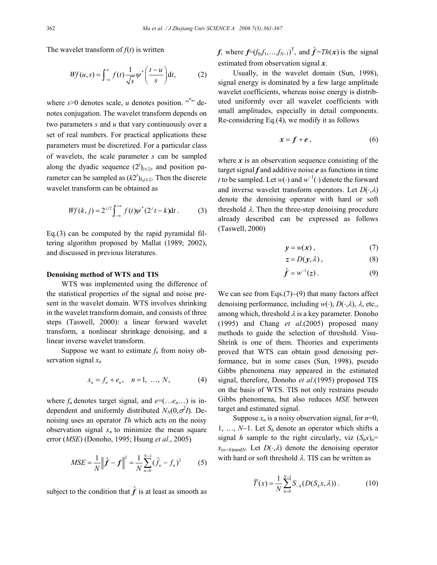The wavelet transform of  $f(t)$  is written

$$
Wf(u,s) = \int_{-\infty}^{\infty} f(t) \frac{1}{\sqrt{s}} \psi^* \left( \frac{t-u}{s} \right) dt, \tag{2}
$$

where  $s > 0$  denotes scale, *u* denotes position. "\*" denotes conjugation. The wavelet transform depends on two parameters *s* and *u* that vary continuously over a set of real numbers. For practical applications these parameters must be discretized. For a particular class of wavelets, the scale parameter *s* can be sampled along the dyadic sequence  $(2<sup>j</sup>)<sub>j\in\mathbb{Z}</sub>$ , and position parameter can be sampled as  $(k2<sup>j</sup>)<sub>k,j\in\mathbb{Z}</sub>$ . Then the discrete wavelet transform can be obtained as

$$
Wf(k, j) = 2^{j/2} \int_{-\infty}^{+\infty} f(t) \psi^*(2^{j} t - k) dt.
$$
 (3)

Eq.(3) can be computed by the rapid pyramidal filtering algorithm proposed by Mallat (1989; 2002), and discussed in previous literatures.

## **Denoising method of WTS and TIS**

WTS was implemented using the difference of the statistical properties of the signal and noise present in the wavelet domain. WTS involves shrinking in the wavelet transform domain, and consists of three steps (Taswell, 2000): a linear forward wavelet transform, a nonlinear shrinkage denoising, and a linear inverse wavelet transform.

Suppose we want to estimate  $f_n$  from noisy observation signal *xn*

$$
x_n = f_n + e_n, \quad n = 1, \ \ldots, \ N,
$$
 (4)

where  $f_n$  denotes target signal, and  $e=(\ldots e_n \ldots)$  is independent and uniformly distributed  $N_N(0, \sigma^2 I)$ . Denoising uses an operator *Th* which acts on the noisy observation signal  $x_n$  to minimize the mean square error (*MSE*) (Donoho, 1995; Hsung *et al*., 2005)

$$
MSE = \frac{1}{N} \left\| \hat{f} - f \right\|^2 = \frac{1}{N} \sum_{n=0}^{N-1} (\hat{f}_n - f_n)^2 \tag{5}
$$

subject to the condition that  $\hat{f}$  is at least as smooth as

*f*, where  $f=(f_0, f_1, \ldots, f_{N-1})^T$ , and  $\hat{f} = Th(x)$  is the signal estimated from observation signal *x*.

Usually, in the wavelet domain (Sun, 1998), signal energy is dominated by a few large amplitude wavelet coefficients, whereas noise energy is distributed uniformly over all wavelet coefficients with small amplitudes, especially in detail components. Re-considering Eq.(4), we modify it as follows

$$
x = f + e \,, \tag{6}
$$

where  $x$  is an observation sequence consisting of the target signal *f* and additive noise *e* as functions in time *t* to be sampled. Let  $w(\cdot)$  and  $w^{-1}(\cdot)$  denote the forward and inverse wavelet transform operators. Let *D*(⋅,λ) denote the denoising operator with hard or soft threshold  $\lambda$ . Then the three-step denoising procedure already described can be expressed as follows (Taswell, 2000)

$$
y = w(x) , \t\t(7)
$$

$$
z = D(y, \lambda), \tag{8}
$$

$$
\hat{\boldsymbol{f}} = \boldsymbol{w}^{-1}(\boldsymbol{z})\,. \tag{9}
$$

We can see from Eqs. $(7)$   $\sim$  (9) that many factors affect denoising performance, including *w*(⋅), *D*(⋅,λ), λ, etc., among which, threshold  $\lambda$  is a key parameter. Donoho (1995) and Chang *et al*.(2005) proposed many methods to guide the selection of threshold. Visu-Shrink is one of them. Theories and experiments proved that WTS can obtain good denoising performance, but in some cases (Sun, 1998), pseudo Gibbs phenomena may appeared in the estimated signal, therefore, Donoho *et al*.(1995) proposed TIS on the basis of WTS. TIS not only restrains pseudo Gibbs phenomena, but also reduces *MSE* between target and estimated signal.

Suppose  $x_n$  is a noisy observation signal, for  $n=0$ , 1, …, *N*−1. Let *Sh* denote an operator which shifts a signal *h* sample to the right circularly, viz  $(S_hx)_n =$  $x_{(n+h) \text{ mod } N}$ . Let  $D(\cdot, \lambda)$  denote the denoising operator with hard or soft threshold  $\lambda$ . TIS can be written as

$$
\overline{T}(x) = \frac{1}{N} \sum_{h=0}^{N-1} S_{-h}(D(S_h x, \lambda)).
$$
 (10)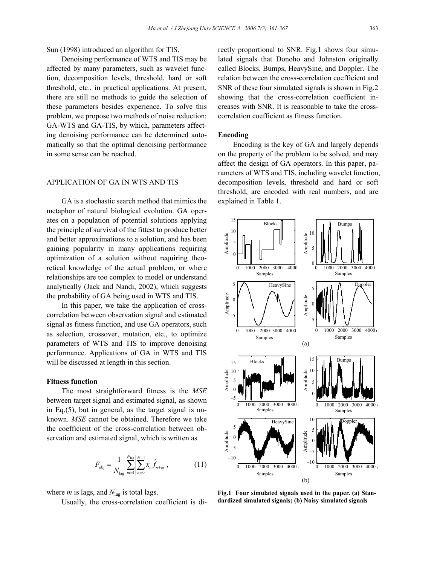Sun (1998) introduced an algorithm for TIS.

Denoising performance of WTS and TIS may be affected by many parameters, such as wavelet function, decomposition levels, threshold, hard or soft threshold, etc., in practical applications. At present, there are still no methods to guide the selection of these parameters besides experience. To solve this problem, we propose two methods of noise reduction: GA-WTS and GA-TIS, by which, parameters affecting denoising performance can be determined automatically so that the optimal denoising performance in some sense can be reached.

## APPLICATION OF GA IN WTS AND TIS

GA is a stochastic search method that mimics the metaphor of natural biological evolution. GA operates on a population of potential solutions applying the principle of survival of the fittest to produce better and better approximations to a solution, and has been gaining popularity in many applications requiring optimization of a solution without requiring theoretical knowledge of the actual problem, or where relationships are too complex to model or understand analytically (Jack and Nandi, 2002), which suggests the probability of GA being used in WTS and TIS.

In this paper, we take the application of crosscorrelation between observation signal and estimated signal as fitness function, and use GA operators, such as selection, crossover, mutation, etc., to optimize parameters of WTS and TIS to improve denoising performance. Applications of GA in WTS and TIS will be discussed at length in this section.

## **Fitness function**

The most straightforward fitness is the *MSE* between target signal and estimated signal, as shown in Eq.(5), but in general, as the target signal is unknown. *MSE* cannot be obtained. Therefore we take the coefficient of the cross-correlation between observation and estimated signal, which is written as

$$
F_{\text{obj}} = \frac{1}{N_{\text{lag}}}\sum_{m=1}^{N_{\text{lag}}}\left|\sum_{n=0}^{N-1} x_n \hat{f}_{n+m}\right|,\tag{11}
$$

where *m* is lags, and *N*lag is total lags.

Usually, the cross-correlation coefficient is di-

rectly proportional to SNR. Fig.1 shows four simulated signals that Donoho and Johnston originally called Blocks, Bumps, HeavySine, and Doppler. The relation between the cross-correlation coefficient and SNR of these four simulated signals is shown in Fig.2 showing that the cross-correlation coefficient increases with SNR. It is reasonable to take the crosscorrelation coefficient as fitness function.

#### **Encoding**

Encoding is the key of GA and largely depends on the property of the problem to be solved, and may affect the design of GA operators. In this paper, parameters of WTS and TIS, including wavelet function, decomposition levels, threshold and hard or soft threshold, are encoded with real numbers, and are explained in Table 1.



**Fig.1 Four simulated signals used in the paper. (a) Standardized simulated signals; (b) Noisy simulated signals**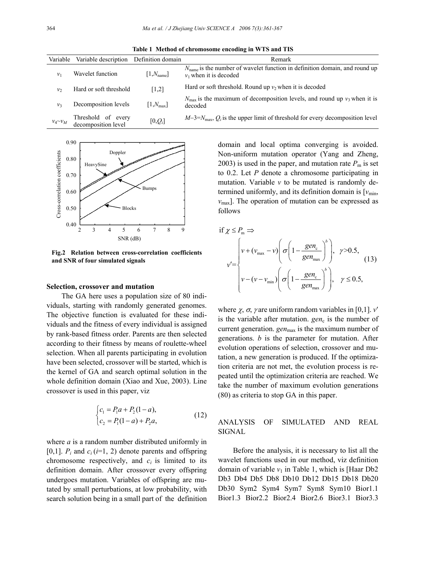**Table 1 Method of chromosome encoding in WTS and TIS** 

| Variable       | Variable description Definition domain    |                        | Remark                                                                                                             |  |  |
|----------------|-------------------------------------------|------------------------|--------------------------------------------------------------------------------------------------------------------|--|--|
| $v_1$          | Wavelet function                          | $[1, N_{\text{name}}]$ | $N_{\text{name}}$ is the number of wavelet function in definition domain, and round up<br>$v_1$ when it is decoded |  |  |
| v <sub>2</sub> | Hard or soft threshold                    | [1,2]                  | Hard or soft threshold. Round up $v_2$ when it is decoded                                                          |  |  |
| v <sub>3</sub> | Decomposition levels                      | $[1,N_{\text{max}}]$   | $N_{\text{max}}$ is the maximum of decomposition levels, and round up $v_3$ when it is<br>decoded                  |  |  |
| $v_4 \sim v_M$ | Threshold of every<br>decomposition level | $[0,Q_i]$              | $M-3=N_{\text{max}}$ , $Q_i$ is the upper limit of threshold for every decomposition level                         |  |  |



**Fig.2 Relation between cross-correlation coefficients and SNR of four simulated signals**

## **Selection, crossover and mutation**

The GA here uses a population size of 80 individuals, starting with randomly generated genomes. The objective function is evaluated for these individuals and the fitness of every individual is assigned by rank-based fitness order. Parents are then selected according to their fitness by means of roulette-wheel selection. When all parents participating in evolution have been selected, crossover will be started, which is the kernel of GA and search optimal solution in the whole definition domain (Xiao and Xue, 2003). Line crossover is used in this paper, viz

$$
\begin{cases} c_1 = P_1 a + P_2 (1 - a), \\ c_2 = P_1 (1 - a) + P_2 a, \end{cases}
$$
 (12)

where *a* is a random number distributed uniformly in [0,1].  $P_i$  and  $c_i$  ( $i=1, 2$ ) denote parents and offspring chromosome respectively, and  $c_i$  is limited to its definition domain. After crossover every offspring undergoes mutation. Variables of offspring are mutated by small perturbations, at low probability, with search solution being in a small part of the definition

domain and local optima converging is avoided. Non-uniform mutation operator (Yang and Zheng, 2003) is used in the paper, and mutation rate  $P<sub>m</sub>$  is set to 0.2. Let *P* denote a chromosome participating in mutation. Variable *v* to be mutated is randomly determined uniformly, and its definition domain is  $[v_{\text{min}}]$ ,  $v_{\text{max}}$ ]. The operation of mutation can be expressed as follows

if 
$$
\chi \le P_m \Rightarrow
$$
  
\n
$$
v' = \begin{cases}\nv + (v_{\text{max}} - v) \left( \sigma \left( 1 - \frac{gen_c}{e^{\theta}} \right)^b \right), & \gamma > 0.5, \\
v - (v - v_{\text{min}}) \left( \sigma \left( 1 - \frac{gen_c}{e^{\theta}} \right)^b \right), & \gamma \le 0.5,\n\end{cases}
$$
\n(13)

where  $\chi$ ,  $\sigma$ ,  $\gamma$  are uniform random variables in [0,1].  $v'$ is the variable after mutation.  $gen_c$  is the number of current generation. *gen*<sub>max</sub> is the maximum number of generations. *b* is the parameter for mutation. After evolution operations of selection, crossover and mutation, a new generation is produced. If the optimization criteria are not met, the evolution process is repeated until the optimization criteria are reached. We take the number of maximum evolution generations (80) as criteria to stop GA in this paper.

ANALYSIS OF SIMULATED AND REAL SIGNAL

Before the analysis, it is necessary to list all the wavelet functions used in our method, viz definition domain of variable  $v_1$  in Table 1, which is [Haar Db2 Db3 Db4 Db5 Db8 Db10 Db12 Db15 Db18 Db20 Db30 Sym2 Sym4 Sym7 Sym8 Sym10 Bior1.1 Bior1.3 Bior2.2 Bior2.4 Bior2.6 Bior3.1 Bior3.3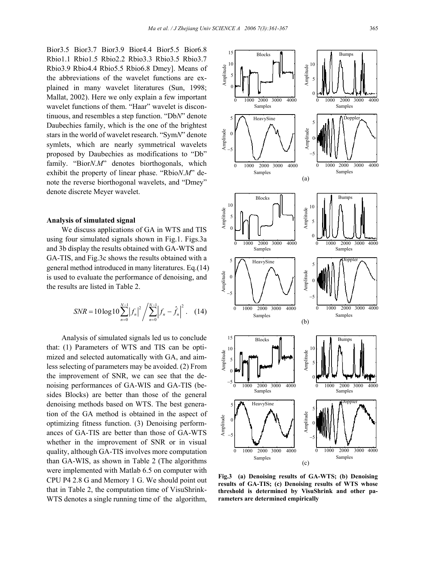Bior3.5 Bior3.7 Bior3.9 Bior4.4 Bior5.5 Bior6.8 Rbio1.1 Rbio1.5 Rbio2.2 Rbio3.3 Rbio3.5 Rbio3.7 Rbio3.9 Rbio4.4 Rbio5.5 Rbio6.8 Dmey]. Means of the abbreviations of the wavelet functions are explained in many wavelet literatures (Sun, 1998; Mallat, 2002). Here we only explain a few important wavelet functions of them. "Haar" wavelet is discontinuous, and resembles a step function. "Db*N*" denote Daubechies family, which is the one of the brightest stars in the world of wavelet research. "Sym*N*" denote symlets, which are nearly symmetrical wavelets proposed by Daubechies as modifications to "Db" family. "Bior*N.M*" denotes biorthogonals, which exhibit the property of linear phase. "Rbio*N*.*M*" denote the reverse biorthogonal wavelets, and "Dmey" denote discrete Meyer wavelet.

## **Analysis of simulated signal**

We discuss applications of GA in WTS and TIS using four simulated signals shown in Fig.1. Figs.3a and 3b display the results obtained with GA-WTS and GA-TIS, and Fig.3c shows the results obtained with a general method introduced in many literatures. Eq.(14) is used to evaluate the performance of denoising, and the results are listed in Table 2.

$$
SNR = 10\log 10 \sum_{n=0}^{N-1} \left| f_n \right|^2 / \sum_{n=0}^{N-1} \left| f_n - \hat{f}_n \right|^2. \tag{14}
$$

Analysis of simulated signals led us to conclude that: (1) Parameters of WTS and TIS can be optimized and selected automatically with GA, and aimless selecting of parameters may be avoided. (2) From the improvement of SNR, we can see that the denoising performances of GA-WIS and GA-TIS (besides Blocks) are better than those of the general denoising methods based on WTS. The best generation of the GA method is obtained in the aspect of optimizing fitness function. (3) Denoising performances of GA-TIS are better than those of GA-WTS whether in the improvement of SNR or in visual quality, although GA-TIS involves more computation than GA-WIS, as shown in Table 2 (The algorithms were implemented with Matlab 6.5 on computer with CPU P4 2.8 G and Memory 1 G. We should point out that in Table 2, the computation time of VisuShrink-WTS denotes a single running time of the algorithm,



**Fig.3 (a) Denoising results of GA-WTS; (b) Denoising results of GA-TIS; (c) Denoising results of WTS whose threshold is determined by VisuShrink and other parameters are determined empirically**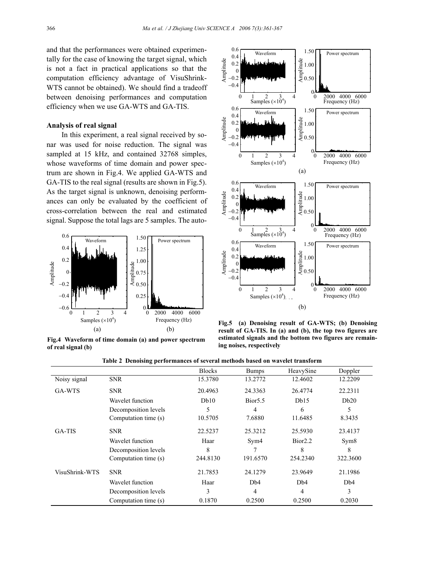and that the performances were obtained experimentally for the case of knowing the target signal, which is not a fact in practical applications so that the computation efficiency advantage of VisuShrink-WTS cannot be obtained). We should find a tradeoff between denoising performances and computation efficiency when we use GA-WTS and GA-TIS.

## **Analysis of real signal**

In this experiment, a real signal received by sonar was used for noise reduction. The signal was sampled at 15 kHz, and contained 32768 simples, whose waveforms of time domain and power spectrum are shown in Fig.4. We applied GA-WTS and GA-TIS to the real signal (results are shown in Fig.5). As the target signal is unknown, denoising performances can only be evaluated by the coefficient of cross-correlation between the real and estimated signal. Suppose the total lags are 5 samples. The auto-



**Fig.4 Waveform of time domain (a) and power spectrum of real signal (b)**



**Fig.5 (a) Denoising result of GA-WTS; (b) Denoising result of GA-TIS. In (a) and (b), the top two figures are estimated signals and the bottom two figures are remaining noises, respectively**

|                |                      | <b>Blocks</b> | <b>Bumps</b>        | HeavySine           | Doppler  |
|----------------|----------------------|---------------|---------------------|---------------------|----------|
| Noisy signal   | <b>SNR</b>           | 15.3780       | 13.2772             | 12.4602             | 12.2209  |
| GA-WTS         | <b>SNR</b>           | 20.4963       | 24.3363             | 26.4774             | 22.2311  |
|                | Wavelet function     | Db10          | Bior <sub>5.5</sub> | Db15                | Db20     |
|                | Decomposition levels | 5             | 4                   | 6                   | 5        |
|                | Computation time (s) | 10.5705       | 7.6880              | 11.6485             | 8.3435   |
| GA-TIS         | <b>SNR</b>           | 22.5237       | 25.3212             | 25.5930             | 23.4137  |
|                | Wavelet function     | Haar          | Sym4                | Bior <sub>2.2</sub> | Sym8     |
|                | Decomposition levels | 8             |                     | 8                   | 8        |
|                | Computation time (s) | 244.8130      | 191.6570            | 254.2340            | 322.3600 |
| VisuShrink-WTS | <b>SNR</b>           | 21.7853       | 24.1279             | 23.9649             | 21.1986  |
|                | Wavelet function     | Haar          | D <sub>b</sub> 4    | D <sub>b</sub> 4    | Db4      |
|                | Decomposition levels | 3             | 4                   | 4                   | 3        |
|                | Computation time (s) | 0.1870        | 0.2500              | 0.2500              | 0.2030   |

**Table 2 Denoising performances of several methods based on wavelet transform**